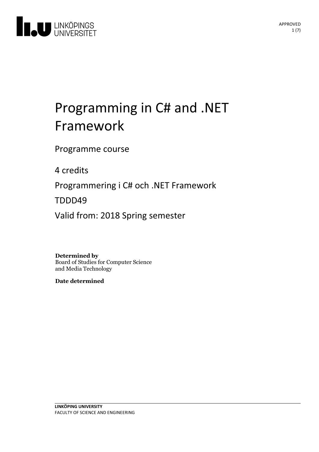

# Programming in C# and .NET Framework

Programme course

4 credits

Programmering i C# och .NET Framework

TDDD49

Valid from: 2018 Spring semester

**Determined by**

Board of Studies for Computer Science and Media Technology

**Date determined**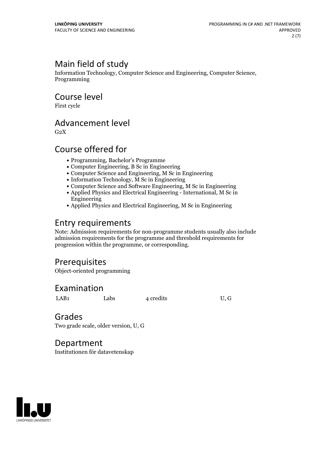# Main field of study

Information Technology, Computer Science and Engineering, Computer Science, Programming

Course level

First cycle

# Advancement level

 $G<sub>2</sub>X$ 

## Course offered for

- Programming, Bachelor's Programme
- Computer Engineering, B Sc in Engineering
- Computer Science and Engineering, M Sc in Engineering
- Information Technology, M Sc in Engineering
- Computer Science and Software Engineering, M Sc in Engineering
- Applied Physics and Electrical Engineering International, M Sc in Engineering
- Applied Physics and Electrical Engineering, M Sc in Engineering

# Entry requirements

Note: Admission requirements for non-programme students usually also include admission requirements for the programme and threshold requirements for progression within the programme, or corresponding.

# **Prerequisites**

Object-oriented programming

## Examination

LAB1 Labs 4 credits U, G

### Grades

Two grade scale, older version, U, G

## Department

Institutionen för datavetenskap

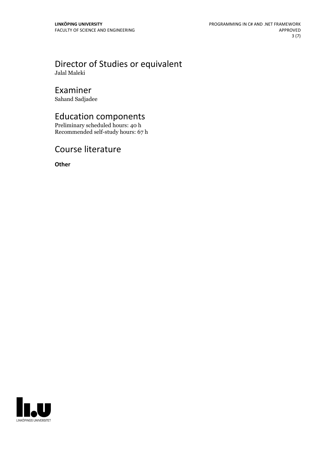### Director of Studies or equivalent Jalal Maleki

# Examiner

Sahand Sadjadee

# Education components

Preliminary scheduled hours: 40 h Recommended self-study hours: 67 h

# Course literature

**Other**

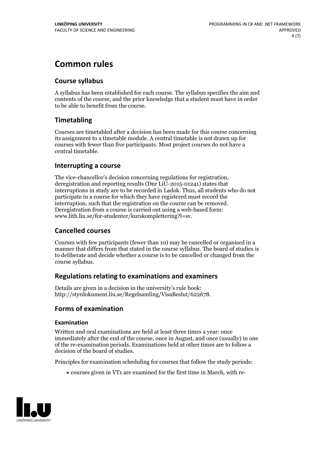# **Common rules**

### **Course syllabus**

A syllabus has been established for each course. The syllabus specifies the aim and contents of the course, and the prior knowledge that a student must have in order to be able to benefit from the course.

### **Timetabling**

Courses are timetabled after a decision has been made for this course concerning its assignment to a timetable module. A central timetable is not drawn up for courses with fewer than five participants. Most project courses do not have a central timetable.

### **Interrupting a course**

The vice-chancellor's decision concerning regulations for registration, deregistration and reporting results (Dnr LiU-2015-01241) states that interruptions in study are to be recorded in Ladok. Thus, all students who do not participate in a course for which they have registered must record the interruption, such that the registration on the course can be removed. Deregistration from <sup>a</sup> course is carried outusing <sup>a</sup> web-based form: www.lith.liu.se/for-studenter/kurskomplettering?l=sv.

### **Cancelled courses**

Courses with few participants (fewer than 10) may be cancelled or organised in a manner that differs from that stated in the course syllabus. The board of studies is to deliberate and decide whether a course is to be cancelled orchanged from the course syllabus.

### **Regulations relatingto examinations and examiners**

Details are given in a decision in the university's rule book: http://styrdokument.liu.se/Regelsamling/VisaBeslut/622678.

### **Forms of examination**

### **Examination**

Written and oral examinations are held at least three times a year: once immediately after the end of the course, once in August, and once (usually) in one of the re-examination periods. Examinations held at other times are to follow a decision of the board of studies.

Principles for examination scheduling for courses that follow the study periods:

courses given in VT1 are examined for the first time in March, with re-

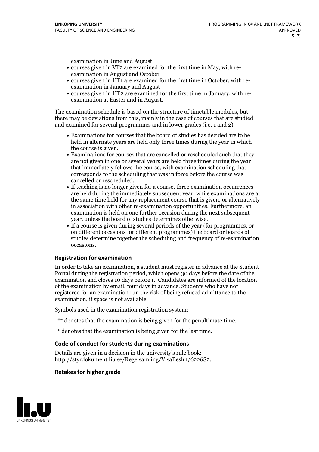examination in June and August

- courses given in VT2 are examined for the first time in May, with re-examination in August and October
- courses given in HT1 are examined for the first time in October, with re-examination in January and August
- courses given in HT2 are examined for the first time in January, with re-examination at Easter and in August.

The examination schedule is based on the structure of timetable modules, but there may be deviations from this, mainly in the case of courses that are studied and examined for several programmes and in lower grades (i.e. 1 and 2).

- Examinations for courses that the board of studies has decided are to be held in alternate years are held only three times during the year in which
- the course is given.<br>• Examinations for courses that are cancelled or rescheduled such that they are not given in one or several years are held three times during the year that immediately follows the course, with examination scheduling that corresponds to the scheduling that was in force before the course was cancelled or rescheduled.<br>• If teaching is no longer given for a course, three examination occurrences
- are held during the immediately subsequent year, while examinations are at the same time held for any replacement course that is given, or alternatively in association with other re-examination opportunities. Furthermore, an examination is held on one further occasion during the next subsequent year, unless the board of studies determines otherwise.<br>• If a course is given during several periods of the year (for programmes, or
- on different occasions for different programmes) the board orboards of studies determine together the scheduling and frequency of re-examination occasions.

#### **Registration for examination**

In order to take an examination, a student must register in advance at the Student Portal during the registration period, which opens 30 days before the date of the examination and closes 10 days before it. Candidates are informed of the location of the examination by email, four days in advance. Students who have not registered for an examination run the risk of being refused admittance to the examination, if space is not available.

Symbols used in the examination registration system:

- \*\* denotes that the examination is being given for the penultimate time.
- \* denotes that the examination is being given for the last time.

#### **Code of conduct for students during examinations**

Details are given in a decision in the university's rule book: http://styrdokument.liu.se/Regelsamling/VisaBeslut/622682.

#### **Retakes for higher grade**

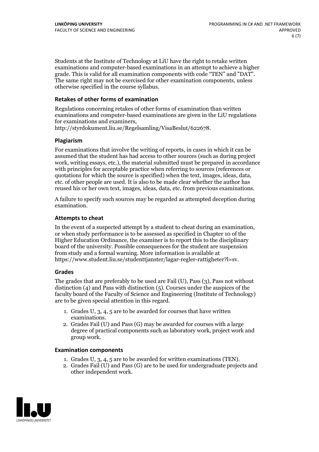Students at the Institute of Technology at LiU have the right to retake written examinations and computer-based examinations in an attempt to achieve a higher grade. This is valid for all examination components with code "TEN" and "DAT". The same right may not be exercised for other examination components, unless otherwise specified in the course syllabus.

#### **Retakes of other forms of examination**

Regulations concerning retakes of other forms of examination than written examinations and computer-based examinations are given in the LiU regulations for examinations and examiners, http://styrdokument.liu.se/Regelsamling/VisaBeslut/622678.

#### **Plagiarism**

For examinations that involve the writing of reports, in cases in which it can be assumed that the student has had access to other sources (such as during project work, writing essays, etc.), the material submitted must be prepared in accordance with principles for acceptable practice when referring to sources (references or quotations for which the source is specified) when the text, images, ideas, data, etc. of other people are used. It is also to be made clear whether the author has reused his or her own text, images, ideas, data, etc. from previous examinations.

A failure to specify such sources may be regarded as attempted deception during examination.

#### **Attempts to cheat**

In the event of <sup>a</sup> suspected attempt by <sup>a</sup> student to cheat during an examination, or when study performance is to be assessed as specified in Chapter <sup>10</sup> of the Higher Education Ordinance, the examiner is to report this to the disciplinary board of the university. Possible consequences for the student are suspension from study and a formal warning. More information is available at https://www.student.liu.se/studenttjanster/lagar-regler-rattigheter?l=sv.

#### **Grades**

The grades that are preferably to be used are Fail (U), Pass (3), Pass not without distinction  $(4)$  and Pass with distinction  $(5)$ . Courses under the auspices of the faculty board of the Faculty of Science and Engineering (Institute of Technology) are to be given special attention in this regard.

- 1. Grades U, 3, 4, 5 are to be awarded for courses that have written
- examinations. 2. Grades Fail (U) and Pass (G) may be awarded for courses with <sup>a</sup> large degree of practical components such as laboratory work, project work and group work.

#### **Examination components**

- 
- 1. Grades U, 3, 4, <sup>5</sup> are to be awarded for written examinations (TEN). 2. Grades Fail (U) and Pass (G) are to be used for undergraduate projects and other independent work.